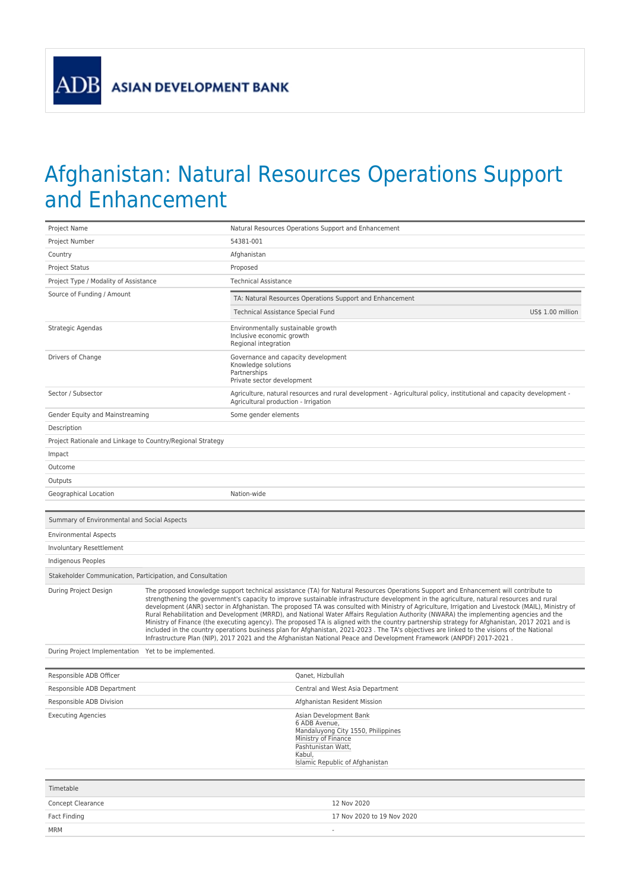**ASIAN DEVELOPMENT BANK** 

**ADB** 

## Afghanistan: Natural Resources Operations Support and Enhancement

| Project Name                                               |                                                                                                                                                                                                                                                                                                                                                                                                                                                                                                                                                                                                                                                                                                                                                                                                                                                                                                                                                                                                           | Natural Resources Operations Support and Enhancement                                                                                                                    |  |  |
|------------------------------------------------------------|-----------------------------------------------------------------------------------------------------------------------------------------------------------------------------------------------------------------------------------------------------------------------------------------------------------------------------------------------------------------------------------------------------------------------------------------------------------------------------------------------------------------------------------------------------------------------------------------------------------------------------------------------------------------------------------------------------------------------------------------------------------------------------------------------------------------------------------------------------------------------------------------------------------------------------------------------------------------------------------------------------------|-------------------------------------------------------------------------------------------------------------------------------------------------------------------------|--|--|
| Project Number                                             |                                                                                                                                                                                                                                                                                                                                                                                                                                                                                                                                                                                                                                                                                                                                                                                                                                                                                                                                                                                                           | 54381-001                                                                                                                                                               |  |  |
| Country                                                    |                                                                                                                                                                                                                                                                                                                                                                                                                                                                                                                                                                                                                                                                                                                                                                                                                                                                                                                                                                                                           | Afghanistan                                                                                                                                                             |  |  |
| <b>Project Status</b>                                      |                                                                                                                                                                                                                                                                                                                                                                                                                                                                                                                                                                                                                                                                                                                                                                                                                                                                                                                                                                                                           | Proposed                                                                                                                                                                |  |  |
| Project Type / Modality of Assistance                      |                                                                                                                                                                                                                                                                                                                                                                                                                                                                                                                                                                                                                                                                                                                                                                                                                                                                                                                                                                                                           | <b>Technical Assistance</b>                                                                                                                                             |  |  |
| Source of Funding / Amount                                 |                                                                                                                                                                                                                                                                                                                                                                                                                                                                                                                                                                                                                                                                                                                                                                                                                                                                                                                                                                                                           | TA: Natural Resources Operations Support and Enhancement                                                                                                                |  |  |
|                                                            |                                                                                                                                                                                                                                                                                                                                                                                                                                                                                                                                                                                                                                                                                                                                                                                                                                                                                                                                                                                                           | Technical Assistance Special Fund<br>US\$ 1.00 million                                                                                                                  |  |  |
| Strategic Agendas                                          |                                                                                                                                                                                                                                                                                                                                                                                                                                                                                                                                                                                                                                                                                                                                                                                                                                                                                                                                                                                                           | Environmentally sustainable growth<br>Inclusive economic growth<br>Regional integration                                                                                 |  |  |
| Drivers of Change                                          |                                                                                                                                                                                                                                                                                                                                                                                                                                                                                                                                                                                                                                                                                                                                                                                                                                                                                                                                                                                                           | Governance and capacity development<br>Knowledge solutions<br>Partnerships<br>Private sector development                                                                |  |  |
| Sector / Subsector                                         |                                                                                                                                                                                                                                                                                                                                                                                                                                                                                                                                                                                                                                                                                                                                                                                                                                                                                                                                                                                                           | Agriculture, natural resources and rural development - Agricultural policy, institutional and capacity development -<br>Agricultural production - Irrigation            |  |  |
| Gender Equity and Mainstreaming                            |                                                                                                                                                                                                                                                                                                                                                                                                                                                                                                                                                                                                                                                                                                                                                                                                                                                                                                                                                                                                           | Some gender elements                                                                                                                                                    |  |  |
| Description                                                |                                                                                                                                                                                                                                                                                                                                                                                                                                                                                                                                                                                                                                                                                                                                                                                                                                                                                                                                                                                                           |                                                                                                                                                                         |  |  |
| Project Rationale and Linkage to Country/Regional Strategy |                                                                                                                                                                                                                                                                                                                                                                                                                                                                                                                                                                                                                                                                                                                                                                                                                                                                                                                                                                                                           |                                                                                                                                                                         |  |  |
| Impact                                                     |                                                                                                                                                                                                                                                                                                                                                                                                                                                                                                                                                                                                                                                                                                                                                                                                                                                                                                                                                                                                           |                                                                                                                                                                         |  |  |
| Outcome                                                    |                                                                                                                                                                                                                                                                                                                                                                                                                                                                                                                                                                                                                                                                                                                                                                                                                                                                                                                                                                                                           |                                                                                                                                                                         |  |  |
| Outputs                                                    |                                                                                                                                                                                                                                                                                                                                                                                                                                                                                                                                                                                                                                                                                                                                                                                                                                                                                                                                                                                                           |                                                                                                                                                                         |  |  |
| Geographical Location                                      |                                                                                                                                                                                                                                                                                                                                                                                                                                                                                                                                                                                                                                                                                                                                                                                                                                                                                                                                                                                                           | Nation-wide                                                                                                                                                             |  |  |
| Summary of Environmental and Social Aspects                |                                                                                                                                                                                                                                                                                                                                                                                                                                                                                                                                                                                                                                                                                                                                                                                                                                                                                                                                                                                                           |                                                                                                                                                                         |  |  |
| <b>Environmental Aspects</b>                               |                                                                                                                                                                                                                                                                                                                                                                                                                                                                                                                                                                                                                                                                                                                                                                                                                                                                                                                                                                                                           |                                                                                                                                                                         |  |  |
| Involuntary Resettlement                                   |                                                                                                                                                                                                                                                                                                                                                                                                                                                                                                                                                                                                                                                                                                                                                                                                                                                                                                                                                                                                           |                                                                                                                                                                         |  |  |
| Indigenous Peoples                                         |                                                                                                                                                                                                                                                                                                                                                                                                                                                                                                                                                                                                                                                                                                                                                                                                                                                                                                                                                                                                           |                                                                                                                                                                         |  |  |
| Stakeholder Communication, Participation, and Consultation |                                                                                                                                                                                                                                                                                                                                                                                                                                                                                                                                                                                                                                                                                                                                                                                                                                                                                                                                                                                                           |                                                                                                                                                                         |  |  |
| During Project Design                                      | The proposed knowledge support technical assistance (TA) for Natural Resources Operations Support and Enhancement will contribute to<br>strengthening the government's capacity to improve sustainable infrastructure development in the agriculture, natural resources and rural<br>development (ANR) sector in Afghanistan. The proposed TA was consulted with Ministry of Agriculture, Irrigation and Livestock (MAIL), Ministry of<br>Rural Rehabilitation and Development (MRRD), and National Water Affairs Regulation Authority (NWARA) the implementing agencies and the<br>Ministry of Finance (the executing agency). The proposed TA is aligned with the country partnership strategy for Afghanistan, 2017 2021 and is<br>included in the country operations business plan for Afghanistan, 2021-2023 . The TA's objectives are linked to the visions of the National<br>Infrastructure Plan (NIP), 2017 2021 and the Afghanistan National Peace and Development Framework (ANPDF) 2017-2021. |                                                                                                                                                                         |  |  |
| During Project Implementation Yet to be implemented.       |                                                                                                                                                                                                                                                                                                                                                                                                                                                                                                                                                                                                                                                                                                                                                                                                                                                                                                                                                                                                           |                                                                                                                                                                         |  |  |
| Responsible ADB Officer                                    |                                                                                                                                                                                                                                                                                                                                                                                                                                                                                                                                                                                                                                                                                                                                                                                                                                                                                                                                                                                                           | Qanet, Hizbullah                                                                                                                                                        |  |  |
| Responsible ADB Department                                 |                                                                                                                                                                                                                                                                                                                                                                                                                                                                                                                                                                                                                                                                                                                                                                                                                                                                                                                                                                                                           | Central and West Asia Department                                                                                                                                        |  |  |
| Responsible ADB Division                                   |                                                                                                                                                                                                                                                                                                                                                                                                                                                                                                                                                                                                                                                                                                                                                                                                                                                                                                                                                                                                           | Afghanistan Resident Mission                                                                                                                                            |  |  |
| <b>Executing Agencies</b>                                  |                                                                                                                                                                                                                                                                                                                                                                                                                                                                                                                                                                                                                                                                                                                                                                                                                                                                                                                                                                                                           | Asian Development Bank<br>6 ADB Avenue,<br>Mandaluyong City 1550, Philippines<br>Ministry of Finance<br>Pashtunistan Watt,<br>Kabul,<br>Islamic Republic of Afghanistan |  |  |
| Timetable                                                  |                                                                                                                                                                                                                                                                                                                                                                                                                                                                                                                                                                                                                                                                                                                                                                                                                                                                                                                                                                                                           |                                                                                                                                                                         |  |  |
| Concept Clearance                                          |                                                                                                                                                                                                                                                                                                                                                                                                                                                                                                                                                                                                                                                                                                                                                                                                                                                                                                                                                                                                           | 12 Nov 2020                                                                                                                                                             |  |  |
| Fact Finding                                               |                                                                                                                                                                                                                                                                                                                                                                                                                                                                                                                                                                                                                                                                                                                                                                                                                                                                                                                                                                                                           | 17 Nov 2020 to 19 Nov 2020                                                                                                                                              |  |  |
| <b>MRM</b>                                                 |                                                                                                                                                                                                                                                                                                                                                                                                                                                                                                                                                                                                                                                                                                                                                                                                                                                                                                                                                                                                           |                                                                                                                                                                         |  |  |